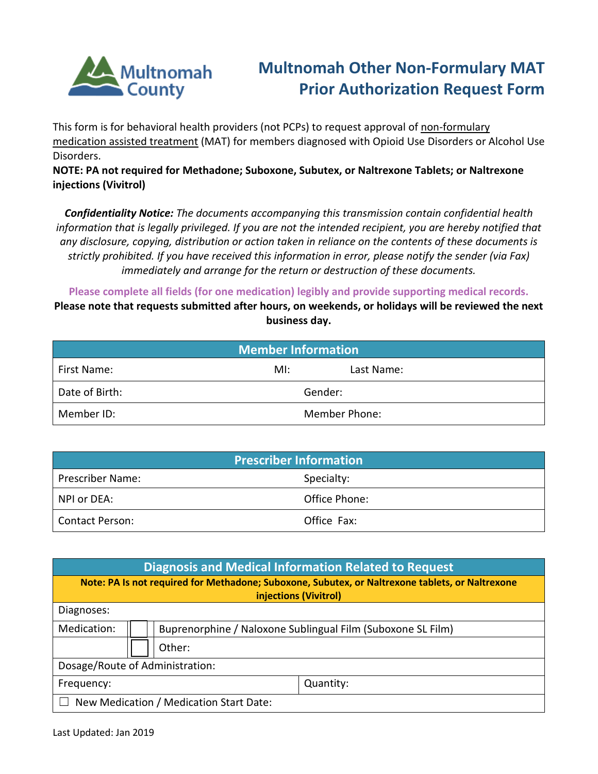

## **Multnomah Other Non-Formulary MAT Prior Authorization Request Form**

This form is for behavioral health providers (not PCPs) to request approval of non-formulary medication assisted treatment (MAT) for members diagnosed with Opioid Use Disorders or Alcohol Use Disorders.

**NOTE: PA not required for Methadone; Suboxone, Subutex, or Naltrexone Tablets; or Naltrexone injections (Vivitrol)**

*Confidentiality Notice: The documents accompanying this transmission contain confidential health information that is legally privileged. If you are not the intended recipient, you are hereby notified that any disclosure, copying, distribution or action taken in reliance on the contents of these documents is strictly prohibited. If you have received this information in error, please notify the sender (via Fax) immediately and arrange for the return or destruction of these documents.*

**Please complete all fields (for one medication) legibly and provide supporting medical records.**

**Please note that requests submitted after hours, on weekends, or holidays will be reviewed the next business day.**

| <b>Member Information</b> |                      |            |  |  |
|---------------------------|----------------------|------------|--|--|
| First Name:               | MI:                  | Last Name: |  |  |
| Date of Birth:            | Gender:              |            |  |  |
| Member ID:                | <b>Member Phone:</b> |            |  |  |

| <b>Prescriber Information</b> |               |  |  |  |
|-------------------------------|---------------|--|--|--|
| <b>Prescriber Name:</b>       | Specialty:    |  |  |  |
| NPI or DEA:                   | Office Phone: |  |  |  |
| <b>Contact Person:</b>        | Office Fax:   |  |  |  |

| <b>Diagnosis and Medical Information Related to Request</b>                                                              |        |                                                             |           |  |
|--------------------------------------------------------------------------------------------------------------------------|--------|-------------------------------------------------------------|-----------|--|
| Note: PA Is not required for Methadone; Suboxone, Subutex, or Naltrexone tablets, or Naltrexone<br>injections (Vivitrol) |        |                                                             |           |  |
| Diagnoses:                                                                                                               |        |                                                             |           |  |
| Medication:                                                                                                              |        | Buprenorphine / Naloxone Sublingual Film (Suboxone SL Film) |           |  |
|                                                                                                                          | Other: |                                                             |           |  |
| Dosage/Route of Administration:                                                                                          |        |                                                             |           |  |
| Frequency:                                                                                                               |        |                                                             | Quantity: |  |
| New Medication / Medication Start Date:                                                                                  |        |                                                             |           |  |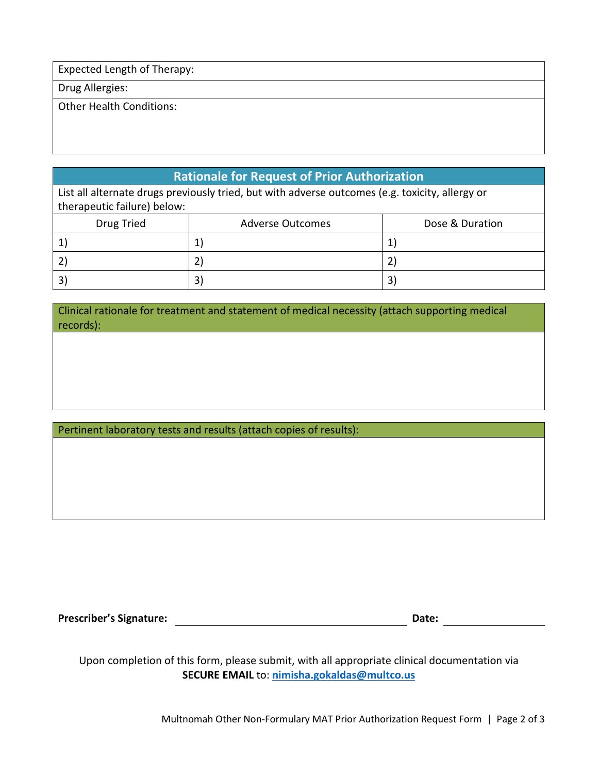Expected Length of Therapy:

Drug Allergies:

Other Health Conditions:

## **Rationale for Request of Prior Authorization**

List all alternate drugs previously tried, but with adverse outcomes (e.g. toxicity, allergy or therapeutic failure) below:

| Drug Tried | <b>Adverse Outcomes</b> | Dose & Duration |
|------------|-------------------------|-----------------|
|            |                         |                 |
|            |                         |                 |
|            |                         | 3               |

Clinical rationale for treatment and statement of medical necessity (attach supporting medical records):

Pertinent laboratory tests and results (attach copies of results):

**Prescriber's Signature: Date:**

Upon completion of this form, please submit, with all appropriate clinical documentation via **SECURE EMAIL** to: **[nimisha.gokaldas@multco.us](mailto:nimisha.gokaldas@multco.us)**

Multnomah Other Non-Formulary MAT Prior Authorization Request Form | Page 2 of 3